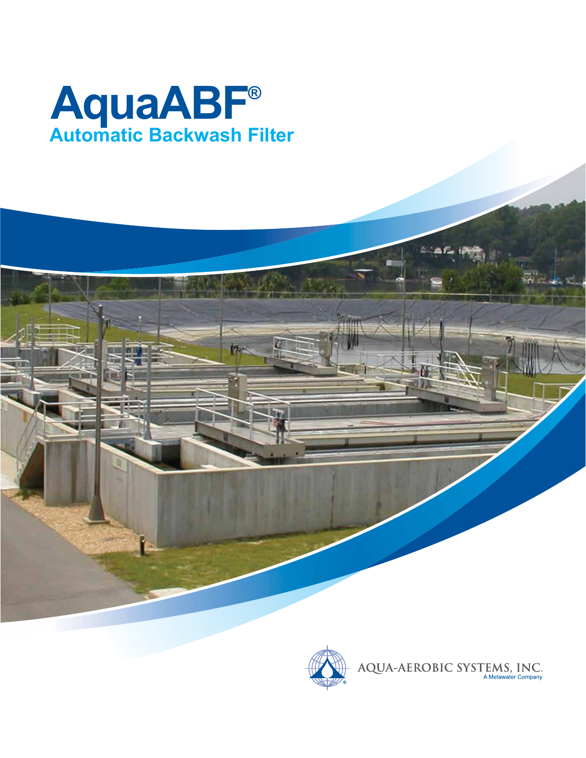



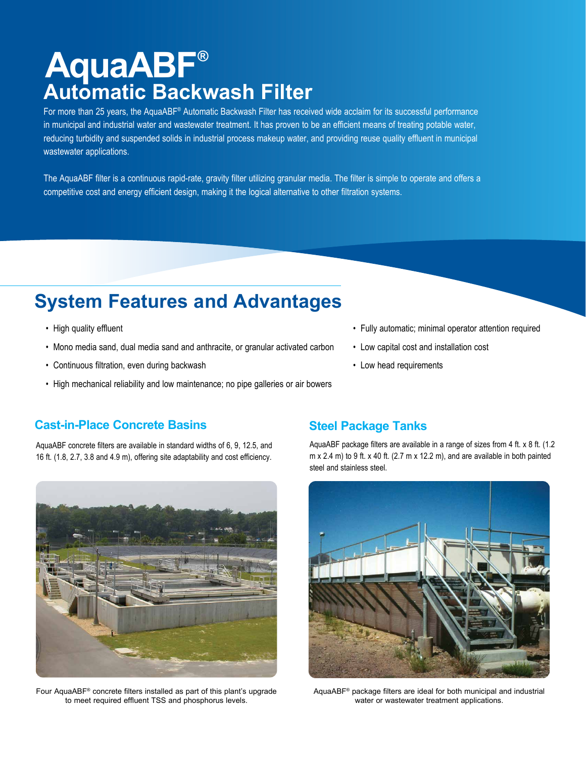### **AquaABF® Automatic Backwash Filter**

For more than 25 years, the AquaABF® Automatic Backwash Filter has received wide acclaim for its successful performance in municipal and industrial water and wastewater treatment. It has proven to be an efficient means of treating potable water, reducing turbidity and suspended solids in industrial process makeup water, and providing reuse quality effluent in municipal wastewater applications.

The AquaABF filter is a continuous rapid-rate, gravity filter utilizing granular media. The filter is simple to operate and offers a competitive cost and energy efficient design, making it the logical alternative to other filtration systems.

### **System Features and Advantages**

- High quality effluent
- Mono media sand, dual media sand and anthracite, or granular activated carbon
- Continuous filtration, even during backwash
- High mechanical reliability and low maintenance; no pipe galleries or air bowers
- Fully automatic; minimal operator attention required
- Low capital cost and installation cost
- Low head requirements

#### **Cast-in-Place Concrete Basins The Steel Package Tanks**

AquaABF concrete filters are available in standard widths of 6, 9, 12.5, and 16 ft. (1.8, 2.7, 3.8 and 4.9 m), offering site adaptability and cost efficiency.



Four AquaABF® concrete filters installed as part of this plant's upgrade to meet required effluent TSS and phosphorus levels.

AquaABF package filters are available in a range of sizes from 4 ft. x 8 ft. (1.2 m  $x$  2.4 m) to 9 ft.  $x$  40 ft. (2.7 m  $x$  12.2 m), and are available in both painted steel and stainless steel.



AquaABF® package filters are ideal for both municipal and industrial water or wastewater treatment applications.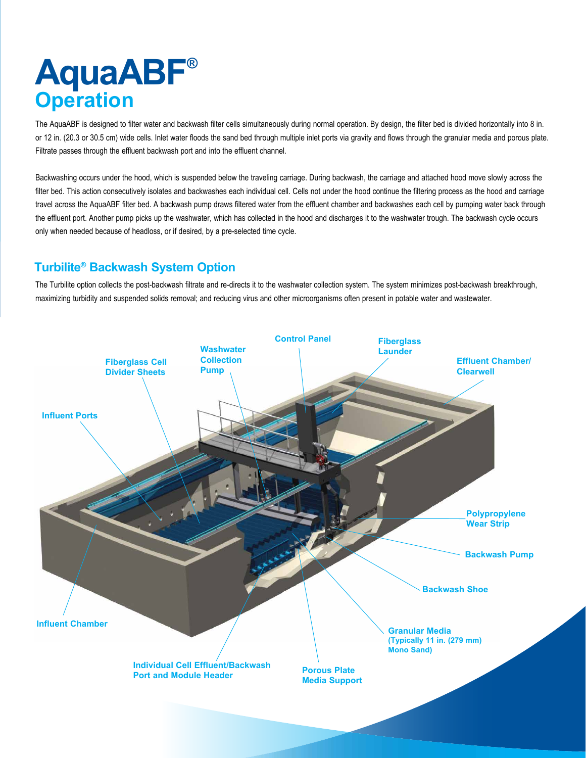# **AquaABF® Operation**

The AquaABF is designed to filter water and backwash filter cells simultaneously during normal operation. By design, the filter bed is divided horizontally into 8 in. or 12 in. (20.3 or 30.5 cm) wide cells. Inlet water floods the sand bed through multiple inlet ports via gravity and flows through the granular media and porous plate. Filtrate passes through the effluent backwash port and into the effluent channel.

Backwashing occurs under the hood, which is suspended below the traveling carriage. During backwash, the carriage and attached hood move slowly across the filter bed. This action consecutively isolates and backwashes each individual cell. Cells not under the hood continue the filtering process as the hood and carriage travel across the AquaABF filter bed. A backwash pump draws filtered water from the effluent chamber and backwashes each cell by pumping water back through the effluent port. Another pump picks up the washwater, which has collected in the hood and discharges it to the washwater trough. The backwash cycle occurs only when needed because of headloss, or if desired, by a pre-selected time cycle.

### **Turbilite® Backwash System Option**

The Turbilite option collects the post-backwash filtrate and re-directs it to the washwater collection system. The system minimizes post-backwash breakthrough, maximizing turbidity and suspended solids removal; and reducing virus and other microorganisms often present in potable water and wastewater.